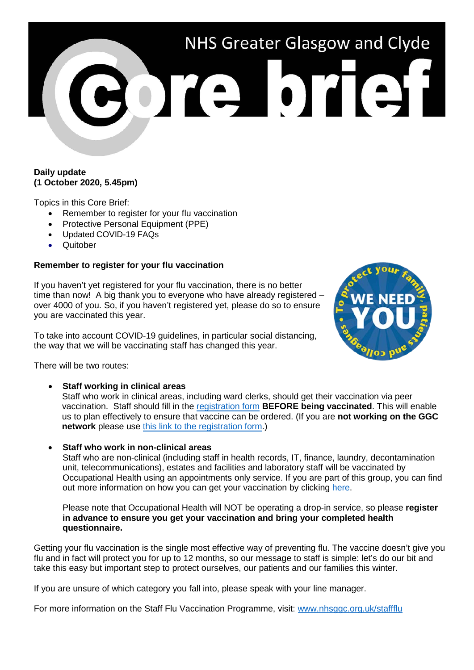

### **Daily update (1 October 2020, 5.45pm)**

Topics in this Core Brief:

- Remember to register for your flu vaccination
- Protective Personal Equipment (PPE)
- Updated COVID-19 FAQs
- **Quitober**

### **Remember to register for your flu vaccination**

If you haven't yet registered for your flu vaccination, there is no better time than now! A big thank you to everyone who have already registered – over 4000 of you. So, if you haven't registered yet, please do so to ensure you are vaccinated this year.

To take into account COVID-19 guidelines, in particular social distancing, the way that we will be vaccinating staff has changed this year.



There will be two routes:

• **Staff working in clinical areas**

Staff who work in clinical areas, including ward clerks, should get their vaccination via peer vaccination. Staff should fill in the [registration form](https://ggcflu.azurewebsites.net/) **BEFORE being vaccinated**. This will enable us to plan effectively to ensure that vaccine can be ordered. (If you are **not working on the GGC network** please use [this link to the registration form.](https://forms.office.com/Pages/ResponsePage.aspx?id=veDvEDCgykuAnLXmdF5JmgW9YoY5w-BDlHK7ghonYUBUM0VUN0ExSFI4UkZaRFlKREFJTlZWTDhaOSQlQCN0PWcu))

• **Staff who work in non-clinical areas**

Staff who are non-clinical (including staff in health records, IT, finance, laundry, decontamination unit, telecommunications), estates and facilities and laboratory staff will be vaccinated by Occupational Health using an appointments only service. If you are part of this group, you can find out more information on how you can get your vaccination by clicking [here.](https://www.nhsggc.org.uk/working-with-us/hr-connect/occupational-health/staff-flu-vaccination-programme-2020-2021/sessions-for-non-clinical-staff/)

Please note that Occupational Health will NOT be operating a drop-in service, so please **register in advance to ensure you get your vaccination and bring your completed health questionnaire.**

Getting your flu vaccination is the single most effective way of preventing flu. The vaccine doesn't give you flu and in fact will protect you for up to 12 months, so our message to staff is simple: let's do our bit and take this easy but important step to protect ourselves, our patients and our families this winter.

If you are unsure of which category you fall into, please speak with your line manager.

For more information on the Staff Flu Vaccination Programme, visit: [www.nhsggc.org.uk/staffflu](http://www.nhsggc.org.uk/staffflu)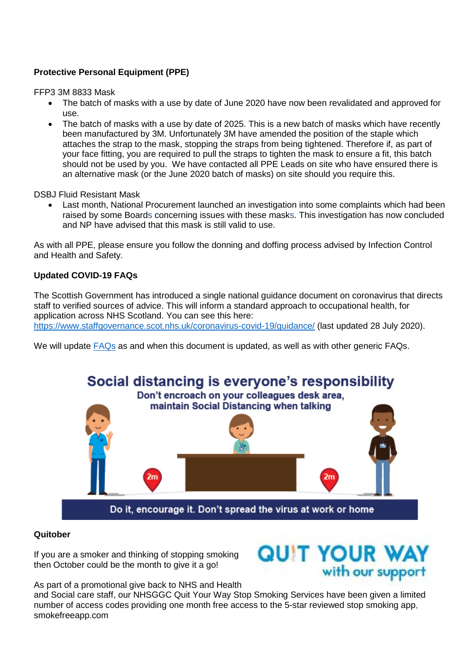# **Protective Personal Equipment (PPE)**

FFP3 3M 8833 Mask

- The batch of masks with a use by date of June 2020 have now been revalidated and approved for use.
- The batch of masks with a use by date of 2025. This is a new batch of masks which have recently been manufactured by 3M. Unfortunately 3M have amended the position of the staple which attaches the strap to the mask, stopping the straps from being tightened. Therefore if, as part of your face fitting, you are required to pull the straps to tighten the mask to ensure a fit, this batch should not be used by you. We have contacted all PPE Leads on site who have ensured there is an alternative mask (or the June 2020 batch of masks) on site should you require this.

DSBJ Fluid Resistant Mask

• Last month, National Procurement launched an investigation into some complaints which had been raised by some Boards concerning issues with these masks. This investigation has now concluded and NP have advised that this mask is still valid to use.

As with all PPE, please ensure you follow the donning and doffing process advised by Infection Control and Health and Safety.

## **Updated COVID-19 FAQs**

The Scottish Government has introduced a single national guidance document on coronavirus that directs staff to verified sources of advice. This will inform a standard approach to occupational health, for application across NHS Scotland. You can see this here: <https://www.staffgovernance.scot.nhs.uk/coronavirus-covid-19/guidance/> (last updated 28 July 2020).

We will update [FAQs](https://www.nhsggc.org.uk/your-health/health-issues/covid-19-coronavirus/for-nhsggc-staff/faqs/) as and when this document is updated, as well as with other generic FAQs.



#### **Quitober**

If you are a smoker and thinking of stopping smoking then October could be the month to give it a go!



As part of a promotional give back to NHS and Health

and Social care staff, our NHSGGC Quit Your Way Stop Smoking Services have been given a limited number of access codes providing one month free access to the 5-star reviewed stop smoking app, smokefreeapp.com